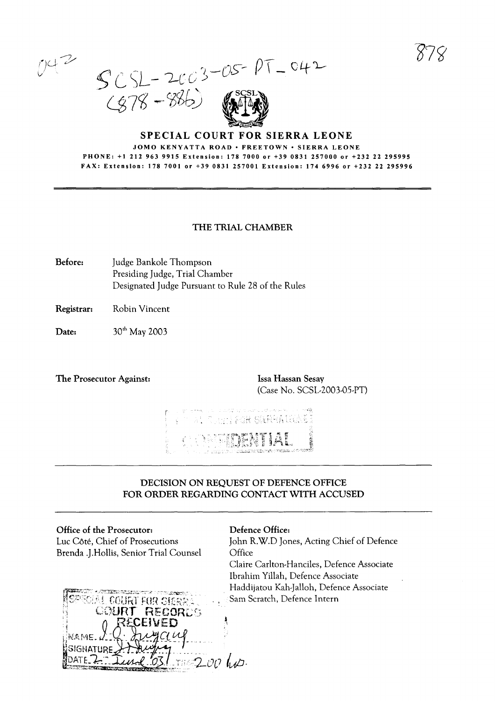$\gamma$ ) $\hookrightarrow$ V

 $SCSL - 2003 - OS - PT$  $(978 - 886)$ 

### SPECIAL COURT FOR SIERRA LEONE JOMO KENYATTA ROAD · FREETOWN · SIERRA LEONE PHONE: +1 2129639915 Extension: 1787000 or +39 0831 257000 or +232 22 295995 FAX: Extension: 1787001 or +39 0831257001 Extension: 1746996 or +232 22 295996

## THE TRIAL CHAMBER

- Before: Judge Bankole Thompson Presiding Judge, Trial Chamber Designated Judge Pursuant to Rule 28 of the Rules
- Registrar: Robin Vincent
- Date: 30<sup>th</sup> May 2003
- The Prosecutor Against: Issa Hassan Sesay

(Case No. SCSL-2003-05-PT)



## DECISION ON REQUEST OF DEFENCE OFFICE FOR ORDER REGARDING CONTACT WITH ACCUSED

### Office of the Prosecutor:

Luc Côté, Chief of Prosecutions Brenda .J.Hollis, Senior Trial Counsel



#### Defence Office:

John R.W.D Jones, Acting Chief of Defence **Office** Claire Carlton-Hanciles, Defence Associate Ibrahim Yillah, Defence Associate

Haddijatou Kah-Jalloh, Defence Associate Sam Scratch, Defence Inrern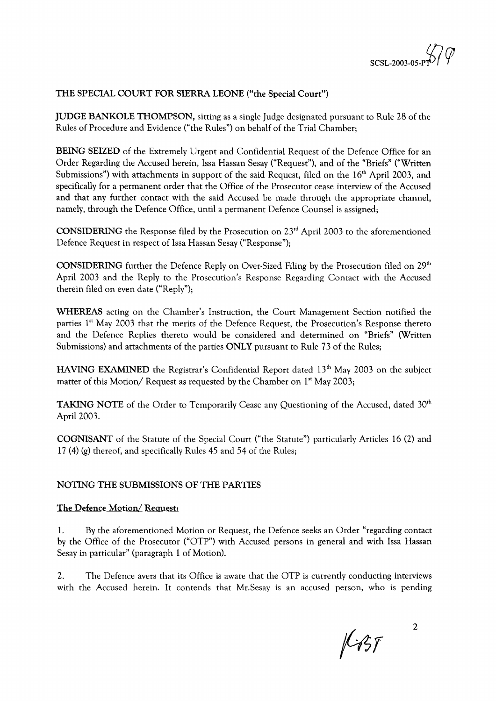

## THE SPECIAL COURT FOR SIERRA LEONE ("the Special Court")

JUDGE BANKOLE THOMPSON, sitting as a single Judge designated pursuant to Rule 28 of the Rules of Procedure and Evidence ("the Rules") on behalf of the Trial Chamber;

BEING SEIZED of the Extremely Urgent and Confidential Request of the Defence Office for an Order Regarding the Accused herein, Issa Hassan Sesay ("Request"), and of the "Briefs" ("Written Submissions") with attachments in support of the said Request, filed on the  $16<sup>th</sup>$  April 2003, and specifically for a permanent order that the Office of the Prosecutor cease interview of the Accused and that any further contact with the said Accused be made through the appropriate channel, namely, through the Defence Office, until a permanent Defence Counsel is assigned;

CONSIDERING the Response filed by the Prosecution on  $23<sup>rd</sup>$  April 2003 to the aforementioned Defence Request in respect of Issa Hassan Sesay ("Response");

**CONSIDERING** further the Defence Reply on Over-Sized Filing by the Prosecution filed on  $29<sup>th</sup>$ April 2003 and the Reply to the Prosecution's Response Regarding Contact with the Accused therein filed on even date ("Reply");

WHEREAS acting on the Chamber's Instruction, the Court Management Section notified the parties 1<sup>st</sup> May 2003 that the merits of the Defence Request, the Prosecution's Response theretc and the Defence Replies thereto would be considered and determined on "Briefs" (Written Submissions) and attachments of the parties ONLY pursuant to Rule 73 of the Rules;

**HAVING EXAMINED** the Registrar's Confidential Report dated  $13<sup>th</sup>$  May 2003 on the subject matter of this Motion/ Request as requested by the Chamber on 1st May 2003;

**TAKING NOTE** of the Order to Temporarily Cease any Questioning of the Accused, dated  $30<sup>th</sup>$ April 2003.

COGNISANT of the Statute of the Special Court ("the Statute") particularly Articles 16 (2) and 17 (4) (g) thereof, and specifically Rules 45 and 54 of the Rules;

### NOTING THE SUBMISSIONS OF THE PARTIES

### The Defence Motion/Request:

1. By the aforementioned Motion or Request, the Defence seeks an Order "regarding contact by the Office of the Prosecutor ("OTP") with Accused persons in general and with Issa Hassan Sesay in particular" (paragraph 1 of Motion).

2. The Defence avers that its Office is aware that the OTP is currently conducting interviews with the Accused herein. It contends that Mr.Sesay is an accused person, who is pending

 $k$ 35

2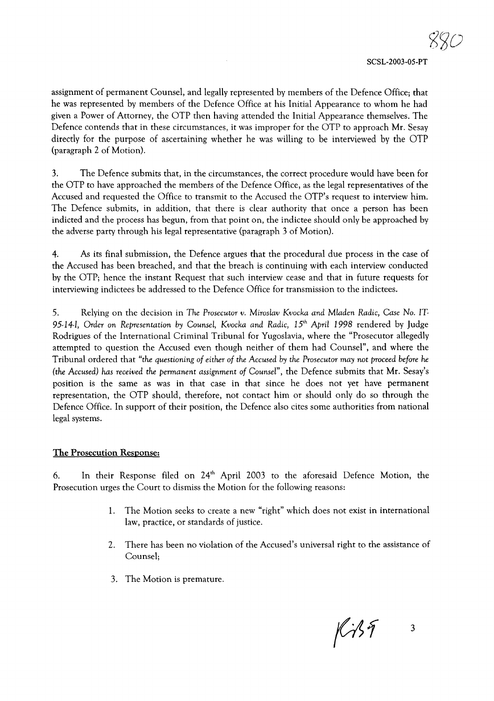assignment of permanent Counsel, and legally represented by members of the Defence Office; that he was represented by members of the Defence Office at his Initial Appearance to whom he had given a Power of Attorney, the OTP then having attended the Initial Appearance themselves. The Defence contends that in these circumstances, it was improper for the OTP to approach Mr. Sesay directly for the purpose of ascertaining whether he was willing to be interviewed by the OTP (paragraph 2 of Motion).

3. The Defence submits that, in the circumstances, the correct procedure would have been for the OTP to have approached the members of the Defence Office, as the legal representatives of the Accused and requested the Office to transmit to the Accused the OTP's request to interview him. The Defence submits, in addition, that there is clear authority that once a person has been indicted and the process has begun, from that point on, the indictee should only be approached by the adverse party through his legal representative (paragraph 3 of Motion).

4. As its final submission, the Defence argues that the procedural due process in the case of the Accused has been breached, and that the breach is continuing with each interview conducted by the OTP; hence the instant Request that such interview cease and that in future requests for interviewing indictees be addressed to the Defence Office for transmission to the indictees.

5. Relying on the decision in *The Prosecutor v. Miroslav Kvocka and Mladen Radic, Case No.* IT *95-14-1, Order* on *Representation by Counsel, Kvocka and Radic, 15'h April* 1998 rendered by Judge Rodrigues of the International Criminal Tribunal for Yugoslavia, where the "Prosecutor allegedly attempted to question the Accused even though neither of them had Counsel", and where the Tribunal ordered that *"the questioning of either of the Accused* by *the Prosecutor may not proceed before he (the Accused) has received the permanent assignment of Counsel",* the Defence submits that Mr. Sesay's position is the same as was in that case in that since he does not yet have permanent representation, the OTP should, therefore, not contact him or should only do so through the Defence Office. In support of their position, the Defence also cites some authorities from national legal systems.

#### The Prosecution Response:

6. In their Response filed on 24th April 2003 to the aforesaid Defence Motion, the Prosecution urges the Court to dismiss the Motion for the following reasons:

- 1. The Motion seeks to create a new "right" which does not exist in international law, practice, or standards of justice.
- 2. There has been no violation of the Accused's universal right to the assistance of Counsel;
- 3. The Motion is premature.

 $K35$ 3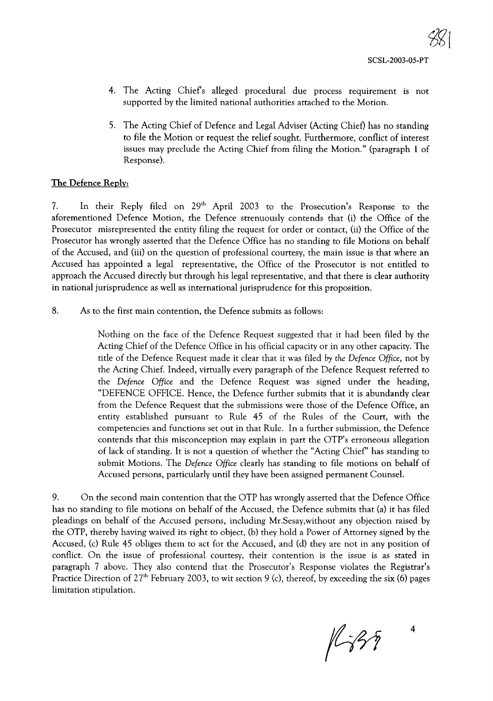- 4. The Acting Chiefs alleged procedural due process requirement is not supported by the limited national authorities attached to the Motion.
- 5. The Acting Chief of Defence and Legal Adviser (Acting Chief) has no standing to file the Motion or request the relief sought. Furthermore, conflict of interest issues may preclude the Acting Chief from filing the Motion." (paragraph 1 of Response).

## The Defence Reply:

7. In their Reply filed on 29th April 2003 to the Prosecution's Response to the aforementioned Defence Motion, the Defence strenuously contends that (i) the Office of the Prosecutor misrepresented the entity filing the request for order or contact, (ii) the Office of the Prosecutor has wrongly asserted that the Defence Office has no standing to file Motions on behalf of the Accused, and (iii) on the question of professional courtesy, the main issue is that where an Accused has appointed a legal representative, the Office of the Prosecutor is not entitled to approach the Accused directly but through his legal representative, and that there is clear authority in national jurisprudence as well as international jurisprudence for this proposition.

8. As to the first main contention, the Defence submits as follows:

Nothing on the face of the Defence Request suggested that it had been filed by the Acting Chief of the Defence Office in his official capacity or in any other capacity. The title of the Defence Request made it clear that it was filed by *the Defence Office,* not by the Acting Chief. Indeed, virtually every paragraph of the Defence Request referred to the *Defence Office* and the Defence Request was signed under the heading, "DEFENCE OFFICE. Hence, the Defence further submits that it is abundantly clear from the Defence Request that the submissions were those of the Defence Office, an entity established pursuant to Rule 45 of the Rules of the Court, with the competencies and functions set out in that Rule. In a further submission, the Defence contends that this misconception may explain in part the OTP's erroneous allegation of lack of standing. It is not a question of whether the "Acting Chief' has standing to submit Motions. The *Defence Office* clearly has standing to file motions on behalf of Accused persons, particularly until they have been assigned permanent Counsel.

9. On the second main contention that the OTP has wrongly asserted that the Defence Office has no standing to file motions on behalf of the Accused, the Defence submits that (a) it has filed pleadings on behalf of the Accused persons, including Mr.Sesay,without any objection raised by the OTP, thereby having waived its right to object, (b) they hold a Power of Attorney signed by the Accused, (c) Rule 45 obliges them to act for the Accused, and (d) they are not in any position of conflict. On the issue of professional courtesy, their contention is the issue is as stated in paragraph 7 above. They also contend that the Prosecutor's Response violates the Registrar's Practice Direction of 27<sup>th</sup> February 2003, to wit section 9 (c), thereof, by exceeding the six (6) pages limitation stipulation.

 $1439$ 

4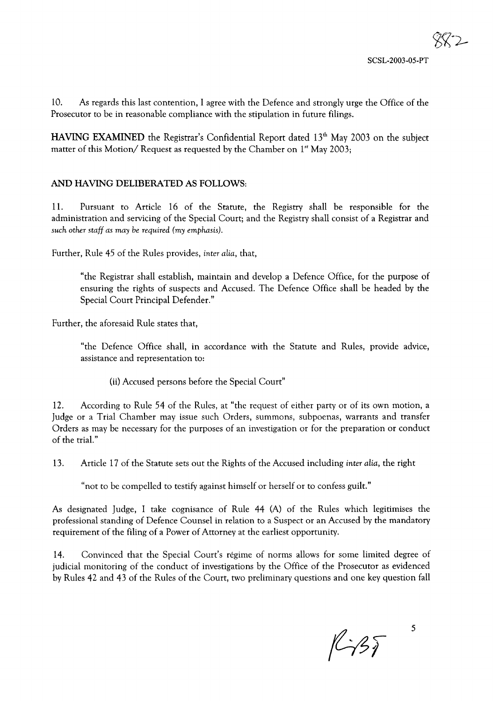10. As regards this last contention, I agree with the Defence and strongly urge the Office of the Prosecutor to be in reasonable compliance with the stipulation in future filings.

**HAVING EXAMINED** the Registrar's Confidential Report dated  $13<sup>th</sup>$  May 2003 on the subject matter of this Motion/ Request as requested by the Chamber on 1<sup>st</sup> May 2003;

### AND HAVING DELIBERATED AS FOLLOWS:

11. Pursuant to Article 16 of the Statute, the Registry shall be responsible for the administration and servicing of the Special Court; and the Registry shall consist of a Registrar and *such other staff as may be required (my emphasis).*

Further, Rule 45 of the Rules provides, *inter alia,* that,

"the Registrar shall establish, maintain and develop a Defence Office, for the purpose of ensuring the rights of suspects and Accused. The Defence Office shall be headed by the Special Court Principal Defender."

Further, the aforesaid Rule states that,

"the Defence Office shall, in accordance with the Statute and Rules, provide advice, assistance and representation to:

(ii) Accused persons before the Special Court"

12. According to Rule 54 of the Rules, at "the request of either party or of its own motion, a Judge or a Trial Chamber may issue such Orders, summons, subpoenas, warrants and transfer Orders as may be necessary for the purposes of an investigation or for the preparation or conduct of the trial."

13. Article 17 of the Statute sets out the Rights of the Accused including *inter alia,* the right

"not to be compelled to testify against himself or herself or to confess guilt."

As designated Judge, I take cognisance of Rule 44 (A) of the Rules which legitimises the professional standing of Defence Counsel in relation to a Suspect or an Accused by the mandatory requirement of the filing of a Power of Attorney at the earliest opportunity.

14. Convinced that the Special Court's regime of norms allows for some limited degree of judicial monitoring of the conduct of investigations by the Office of the Prosecutor as evidenced by Rules 42 and 43 of the Rules of the Court, two preliminary questions and one key question fall

 $1435$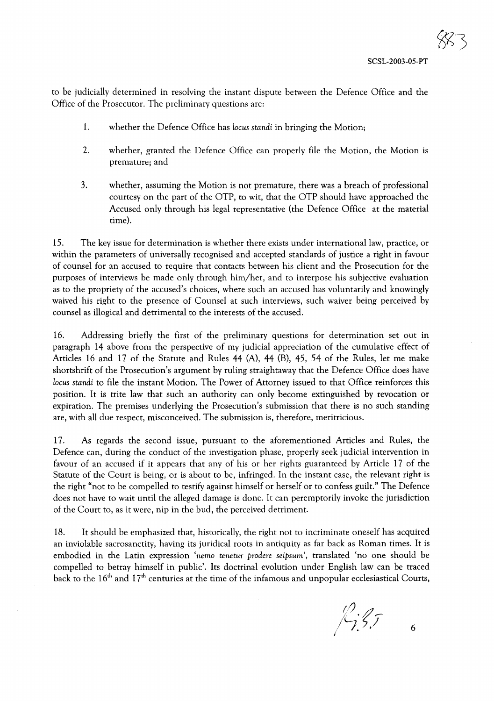to be judicially determined in resolving the instant dispute between the Defence Office and the Office of the Prosecutor. The preliminary questions are:

- 1. whether the Defence Office has *locus standi* in bringing the Motion;
- 2. whether, granted the Defence Office can properly file the Motion, the Motion is premature; and
- 3. whether, assuming the Motion is not premature, there was a breach of professional courtesy on the part of the OTP, to wit, that the OTP should have approached the Accused only through his legal representative (the Defence Office at the material time).

15. The key issue for determination is whether there exists under international law, practice, or within the parameters of universally recognised and accepted standards of justice a right in favour of counsel for an accused to require that contacts between his client and the Prosecution for the purposes of interviews be made only through him/her, and to interpose his subjective evaluation as to the propriety of the accused's choices, where such an accused has voluntarily and knowingly waived his right to the presence of Counsel at such interviews, such waiver being perceived by counsel as illogical and detrimental to the interests of the accused.

16. Addressing briefly the first of the preliminary questions for determination set out in paragraph 14 above from the perspective of my judicial appreciation of the cumulative effect of Articles 16 and 17 of the Statute and Rules 44 (A), 44 (B), 45, 54 of the Rules, let me make shortshrift of the Prosecution's argument by ruling straightaway that the Defence Office does have *locus standi* to file the instant Motion. The Power of Attorney issued to that Office reinforces this position. It is trite law that such an authority can only become extinguished by revocation or expiration. The premises underlying the Prosecution's submission that there is no such standing are, with all due respect, misconceived. The submission is, therefore, meritricious.

17. As regards the second issue, pursuant to the aforementioned Articles and Rules, the Defence can, during the conduct of the investigation phase, properly seek judicial intervention in favour of an accused if it appears that any of his or her rights guaranteed by Article 17 of the Statute of the Court is being, or is about to be, infringed. In the instant case, the relevant right is the right "not to be compelled to testify against himself or herself or to confess guilt." The Defence does not have to wait until the alleged damage is done. It can peremptorily invoke the jurisdiction of the Court to, as it were, nip in the bud, the perceived detriment.

18. It should be emphasized that, historically, the right not to incriminate oneself has acquired an inviolable sacrosanctity, having its juridical roots in antiquity as far back as Roman times. It is embodied in the Latin expression 'nemo *tenetur prodere seipsum',* translated 'no one should be compelled to betray himself in public'. Its doctrinal evolution under English law can be traced back to the 16<sup>th</sup> and 17<sup>th</sup> centuries at the time of the infamous and unpopular ecclesiastical Courts,

*(1) # } -7.5, 5* . 6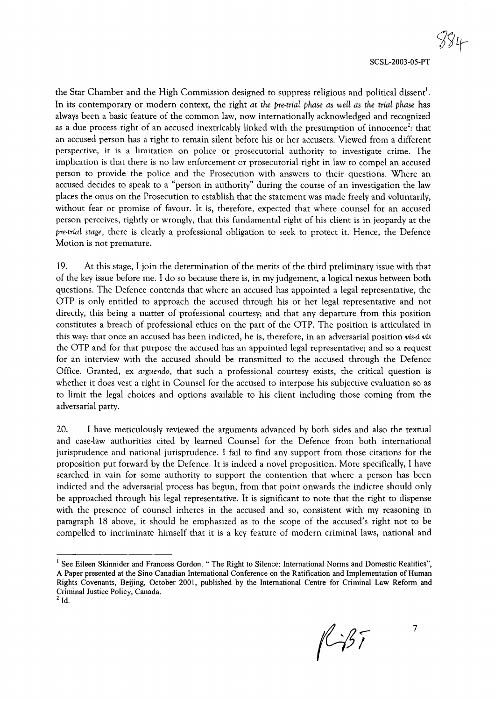the Star Chamber and the High Commission designed to suppress religious and political dissent $^{\rm l}$ . In its contemporary or modern context, the right *at the pre-trial phase as well as the trial phase* has always been a basic feature of the common law, now internationally acknowledged and recognized as a due process right of an accused inextricably linked with the presumption of innocence<sup>2</sup>: that an accused person has a right to remain silent before his or her accusers. Viewed from a different perspective, it is a limitation on police or prosecutorial authority to investigate crime. The implication is that there is no law enforcement or prosecutorial right in law to compel an accused person to provide the police and the Prosecution with answers to their questions. Where an accused decides to speak to a "person in authority" during the course of an investigation the law places the onus on the Prosecution to establish that the statement was made freely and voluntarily, without fear or promise of favour. It is, therefore, expected that where counsel for an accused person perceives, rightly or wrongly, that this fundamental right of his client is in jeopardy at the *pre-trial stage,* there is clearly a professional obligation to seek to protect it. Hence, the Defence Motion is not premature.

19. At this stage, I join the determination of the merits of the third preliminary issue with that of the key issue before me. I do so because there is, in my judgement, a logical nexus between both questions. The Defence contends that where an accused has appointed a legal representative, the OTP is only entitled to approach the accused through his or her legal representative and not directly, this being a matter of professional courtesy; and that any departure from this position constitutes a breach of professional ethics on the part of the OTP. The position is articulated in this way: that once an accused has been indicted, he is, therefore, in an adversarial position *vis-a* vis the OTP and for that purpose the accused has an appointed legal representative; and so a request for an interview with the accused should be transmitted to the accused through the Defence Office. Granted, ex *arguendo,* that such a professional courtesy exists, the critical question is whether it does vest a right in Counsel for the accused to interpose his subjective evaluation so as to limit the legal choices and options available to his client including those coming from the adversarial party.

20. I have meticulously reviewed the arguments advanced by both sides and also the textual and case-law authorities cited by learned Counsel for the Defence from both international jurisprudence and national jurisprudence. I fail to find any support from those citations for the proposition put forward by the Defence. It is indeed a novel proposition. More specifically, I have searched in vain for some authority to support the contention that where a person has been indicted and the adversarial process has begun, from that point onwards the indictee should only be approached through his legal representative. It is significant to note that the right to dispense with the presence of counsel inheres in the accused and so, consistent with my reasoning in paragraph 18 above, it should be emphasized as to the scope of the accused's right not to be compelled to incriminate himself that it is a key feature of modern criminal laws, national and

 $1457$ 

<sup>&</sup>lt;sup>1</sup> See Eileen Skinnider and Francess Gordon. " The Right to Silence: International Norms and Domestic Realities", A Paper presented at the Sino Canadian International Conference on the Ratification and Implementation of Human Rights Covenants, Beijing, October 2001, published by the International Centre for Criminal Law Reform and Criminal Justice Policy, Canada.

 $2$ Id.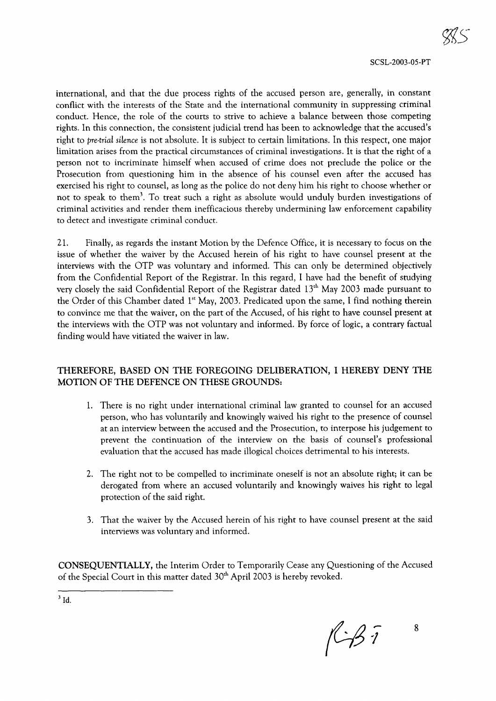international, and that the due process rights of the accused person are, generally, in constant conflict with the interests of the State and the international community in suppressing criminal conduct. Hence, the role of the courts to strive to achieve a balance between those competing rights. In this connection, the consistent judicial trend has been to acknowledge that the accused's right to *pre-trial silence* is not absolute. It is subject to certain limitations. In this respect, one major limitation arises from the practical circumstances of criminal investigations. It is that the right of a person not to incriminate himself when accused of crime does not preclude the police or the Prosecution from questioning him in the absence of his counsel even after the accused has exercised his right to counsel, as long as the police do not deny him his right to choose whether or not to speak to them<sup>3</sup>. To treat such a right as absolute would unduly burden investigations of criminal activities and render them inefficacious thereby undermining law enforcement capability to detect and investigate criminal conduct.

21. Finally, as regards the instant Motion by the Defence Office, it is necessary to focus on the issue of whether the waiver by the Accused herein of his right to have counsel present at the interviews with the OTP was voluntary and informed. This can only be determined objectively from the Confidential Report of the Registrar. In this regard, I have had the benefit of studying very closely the said Confidential Report of the Registrar dated 13<sup>th</sup> May 2003 made pursuant to the Order of this Chamber dated 1st May, 2003. Predicated upon the same, I find nothing therein to convince me that the waiver, on the part of the Accused, of his right to have counsel present at the interviews with the OTP was not voluntary and informed. By force of logic, a contrary factual finding would have vitiated the waiver in law.

# THEREFORE, BASED ON THE FOREGOING DELIBERATION, I HEREBY DENY THE MOTION OF THE DEFENCE ON THESE GROUNDS:

- 1. There is no right under international criminal law granted to counsel for an accused person, who has voluntarily and knowingly waived his right to the presence of counsel at an interview between the accused and the Prosecution, to interpose his judgement to prevent the continuation of the interview on the basis of counsel's professional evaluation that the accused has made illogical choices detrimental to his interests.
- 2. The right not to be compelled to incriminate oneself is not an absolute right; it can be derogated from where an accused voluntarily and knowingly waives his right to legal protection of the said right.
- 3. That the waiver by the Accused herein of his right to have counsel present at the said interviews was voluntary and informed.

CONSEQUENTIALLY, the Interim Order to Temporarily Cease any Questioning of the Accused of the Special Court in this matter dated 30<sup>th</sup> April 2003 is hereby revoked.

 $3$  Id.

 $f\rightarrow\mathcal{B}$